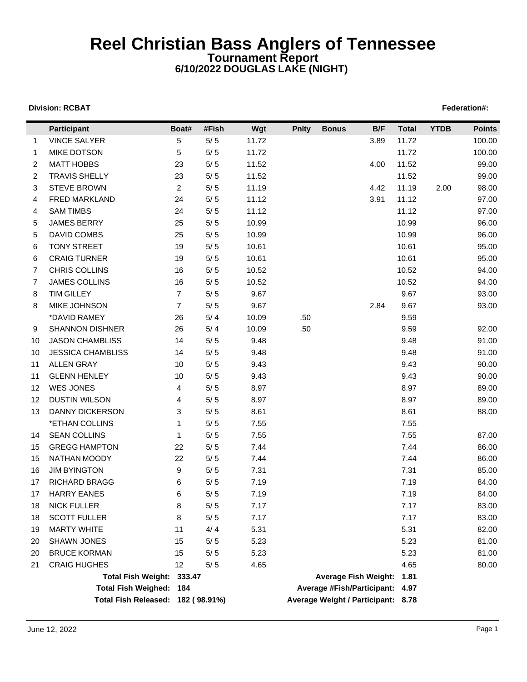## **Reel Christian Bass Anglers of Tennessee Tournament Report 6/10/2022 DOUGLAS LAKE (NIGHT)**

## **Division: RCBAT** Federation#:

Ē

|                | <b>Participant</b>                | Boat#          | #Fish | Wgt   | <b>Pnlty</b> | <b>Bonus</b>                       | B/F  | <b>Total</b> | <b>YTDB</b> | <b>Points</b> |
|----------------|-----------------------------------|----------------|-------|-------|--------------|------------------------------------|------|--------------|-------------|---------------|
| 1              | <b>VINCE SALYER</b>               | 5              | $5/5$ | 11.72 |              |                                    | 3.89 | 11.72        |             | 100.00        |
| $\mathbf{1}$   | <b>MIKE DOTSON</b>                | 5              | $5/5$ | 11.72 |              |                                    |      | 11.72        |             | 100.00        |
| $\overline{2}$ | <b>MATT HOBBS</b>                 | 23             | $5/5$ | 11.52 |              |                                    | 4.00 | 11.52        |             | 99.00         |
| $\overline{2}$ | <b>TRAVIS SHELLY</b>              | 23             | $5/5$ | 11.52 |              |                                    |      | 11.52        |             | 99.00         |
| 3              | <b>STEVE BROWN</b>                | $\overline{2}$ | $5/5$ | 11.19 |              |                                    | 4.42 | 11.19        | 2.00        | 98.00         |
| 4              | FRED MARKLAND                     | 24             | $5/5$ | 11.12 |              |                                    | 3.91 | 11.12        |             | 97.00         |
| 4              | <b>SAM TIMBS</b>                  | 24             | $5/5$ | 11.12 |              |                                    |      | 11.12        |             | 97.00         |
| 5              | <b>JAMES BERRY</b>                | 25             | $5/5$ | 10.99 |              |                                    |      | 10.99        |             | 96.00         |
| 5              | <b>DAVID COMBS</b>                | 25             | $5/5$ | 10.99 |              |                                    |      | 10.99        |             | 96.00         |
| 6              | <b>TONY STREET</b>                | 19             | $5/5$ | 10.61 |              |                                    |      | 10.61        |             | 95.00         |
| 6              | <b>CRAIG TURNER</b>               | 19             | $5/5$ | 10.61 |              |                                    |      | 10.61        |             | 95.00         |
| 7              | CHRIS COLLINS                     | 16             | $5/5$ | 10.52 |              |                                    |      | 10.52        |             | 94.00         |
| 7              | <b>JAMES COLLINS</b>              | 16             | $5/5$ | 10.52 |              |                                    |      | 10.52        |             | 94.00         |
| 8              | <b>TIM GILLEY</b>                 | $\overline{7}$ | $5/5$ | 9.67  |              |                                    |      | 9.67         |             | 93.00         |
| 8              | MIKE JOHNSON                      | $\overline{7}$ | $5/5$ | 9.67  |              |                                    | 2.84 | 9.67         |             | 93.00         |
|                | *DAVID RAMEY                      | 26             | $5/4$ | 10.09 | .50          |                                    |      | 9.59         |             |               |
| 9              | <b>SHANNON DISHNER</b>            | 26             | 5/4   | 10.09 | .50          |                                    |      | 9.59         |             | 92.00         |
| 10             | <b>JASON CHAMBLISS</b>            | 14             | $5/5$ | 9.48  |              |                                    |      | 9.48         |             | 91.00         |
| 10             | <b>JESSICA CHAMBLISS</b>          | 14             | $5/5$ | 9.48  |              |                                    |      | 9.48         |             | 91.00         |
| 11             | <b>ALLEN GRAY</b>                 | 10             | $5/5$ | 9.43  |              |                                    |      | 9.43         |             | 90.00         |
| 11             | <b>GLENN HENLEY</b>               | 10             | $5/5$ | 9.43  |              |                                    |      | 9.43         |             | 90.00         |
| 12             | <b>WES JONES</b>                  | 4              | $5/5$ | 8.97  |              |                                    |      | 8.97         |             | 89.00         |
| 12             | <b>DUSTIN WILSON</b>              | 4              | $5/5$ | 8.97  |              |                                    |      | 8.97         |             | 89.00         |
| 13             | <b>DANNY DICKERSON</b>            | 3              | $5/5$ | 8.61  |              |                                    |      | 8.61         |             | 88.00         |
|                | *ETHAN COLLINS                    | $\mathbf{1}$   | $5/5$ | 7.55  |              |                                    |      | 7.55         |             |               |
| 14             | <b>SEAN COLLINS</b>               | 1              | $5/5$ | 7.55  |              |                                    |      | 7.55         |             | 87.00         |
| 15             | <b>GREGG HAMPTON</b>              | 22             | $5/5$ | 7.44  |              |                                    |      | 7.44         |             | 86.00         |
| 15             | NATHAN MOODY                      | 22             | $5/5$ | 7.44  |              |                                    |      | 7.44         |             | 86.00         |
| 16             | <b>JIM BYINGTON</b>               | 9              | $5/5$ | 7.31  |              |                                    |      | 7.31         |             | 85.00         |
| 17             | RICHARD BRAGG                     | 6              | $5/5$ | 7.19  |              |                                    |      | 7.19         |             | 84.00         |
| 17             | <b>HARRY EANES</b>                | 6              | $5/5$ | 7.19  |              |                                    |      | 7.19         |             | 84.00         |
| 18             | <b>NICK FULLER</b>                | 8              | $5/5$ | 7.17  |              |                                    |      | 7.17         |             | 83.00         |
| 18             | <b>SCOTT FULLER</b>               | 8              | $5/5$ | 7.17  |              |                                    |      | 7.17         |             | 83.00         |
| 19             | <b>MARTY WHITE</b>                | 11             | 4/4   | 5.31  |              |                                    |      | 5.31         |             | 82.00         |
| 20             | SHAWN JONES                       | 15             | $5/5$ | 5.23  |              |                                    |      | 5.23         |             | 81.00         |
| 20             | <b>BRUCE KORMAN</b>               | 15             | $5/5$ | 5.23  |              |                                    |      | 5.23         |             | 81.00         |
| 21             | <b>CRAIG HUGHES</b>               | 12             | $5/5$ | 4.65  |              |                                    |      | 4.65         |             | 80.00         |
|                | Total Fish Weight: 333.47         |                |       |       |              | <b>Average Fish Weight:</b>        |      | 1.81         |             |               |
|                | <b>Total Fish Weighed:</b>        | 184            |       |       |              | <b>Average #Fish/Participant:</b>  |      | 4.97         |             |               |
|                | Total Fish Released: 182 (98.91%) |                |       |       |              | Average Weight / Participant: 8.78 |      |              |             |               |
|                |                                   |                |       |       |              |                                    |      |              |             |               |